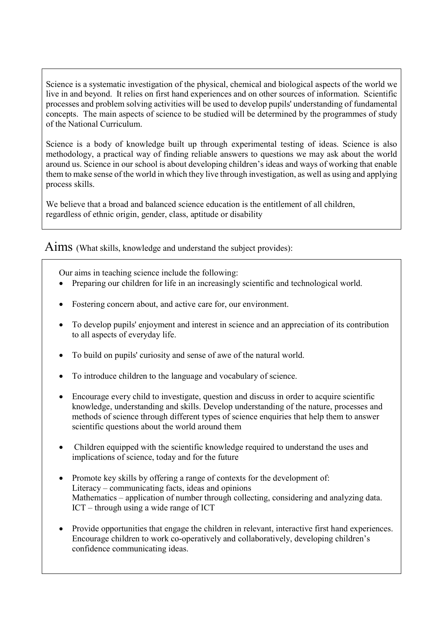Science is a systematic investigation of the physical, chemical and biological aspects of the world we live in and beyond. It relies on first hand experiences and on other sources of information. Scientific processes and problem solving activities will be used to develop pupils' understanding of fundamental concepts. The main aspects of science to be studied will be determined by the programmes of study of the National Curriculum.

Science is a body of knowledge built up through experimental testing of ideas. Science is also methodology, a practical way of finding reliable answers to questions we may ask about the world around us. Science in our school is about developing children's ideas and ways of working that enable them to make sense of the world in which they live through investigation, as well as using and applying process skills.

We believe that a broad and balanced science education is the entitlement of all children, regardless of ethnic origin, gender, class, aptitude or disability

Aims (What skills, knowledge and understand the subject provides):

Our aims in teaching science include the following:

- Preparing our children for life in an increasingly scientific and technological world.
- Fostering concern about, and active care for, our environment.
- To develop pupils' enjoyment and interest in science and an appreciation of its contribution to all aspects of everyday life.
- To build on pupils' curiosity and sense of awe of the natural world.
- To introduce children to the language and vocabulary of science.
- Encourage every child to investigate, question and discuss in order to acquire scientific knowledge, understanding and skills. Develop understanding of the nature, processes and methods of science through different types of science enquiries that help them to answer scientific questions about the world around them
- Children equipped with the scientific knowledge required to understand the uses and implications of science, today and for the future
- Promote key skills by offering a range of contexts for the development of: Literacy – communicating facts, ideas and opinions Mathematics – application of number through collecting, considering and analyzing data. ICT – through using a wide range of ICT
- Provide opportunities that engage the children in relevant, interactive first hand experiences. Encourage children to work co-operatively and collaboratively, developing children's confidence communicating ideas.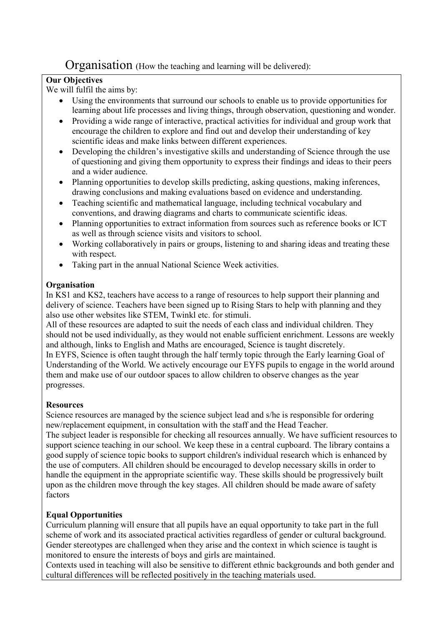## Organisation (How the teaching and learning will be delivered):

### **Our Objectives**

We will fulfil the aims by:

- Using the environments that surround our schools to enable us to provide opportunities for learning about life processes and living things, through observation, questioning and wonder.
- Providing a wide range of interactive, practical activities for individual and group work that encourage the children to explore and find out and develop their understanding of key scientific ideas and make links between different experiences.
- Developing the children's investigative skills and understanding of Science through the use of questioning and giving them opportunity to express their findings and ideas to their peers and a wider audience.
- Planning opportunities to develop skills predicting, asking questions, making inferences, drawing conclusions and making evaluations based on evidence and understanding.
- Teaching scientific and mathematical language, including technical vocabulary and conventions, and drawing diagrams and charts to communicate scientific ideas.
- Planning opportunities to extract information from sources such as reference books or ICT as well as through science visits and visitors to school.
- Working collaboratively in pairs or groups, listening to and sharing ideas and treating these with respect.
- Taking part in the annual National Science Week activities.

## **Organisation**

In KS1 and KS2, teachers have access to a range of resources to help support their planning and delivery of science. Teachers have been signed up to Rising Stars to help with planning and they also use other websites like STEM, Twinkl etc. for stimuli.

All of these resources are adapted to suit the needs of each class and individual children. They should not be used individually, as they would not enable sufficient enrichment. Lessons are weekly and although, links to English and Maths are encouraged, Science is taught discretely. In EYFS, Science is often taught through the half termly topic through the Early learning Goal of Understanding of the World. We actively encourage our EYFS pupils to engage in the world around them and make use of our outdoor spaces to allow children to observe changes as the year progresses.

## **Resources**

Science resources are managed by the science subject lead and s/he is responsible for ordering new/replacement equipment, in consultation with the staff and the Head Teacher.

The subject leader is responsible for checking all resources annually. We have sufficient resources to support science teaching in our school. We keep these in a central cupboard. The library contains a good supply of science topic books to support children's individual research which is enhanced by the use of computers. All children should be encouraged to develop necessary skills in order to handle the equipment in the appropriate scientific way. These skills should be progressively built upon as the children move through the key stages. All children should be made aware of safety factors

## Equal Opportunities

Curriculum planning will ensure that all pupils have an equal opportunity to take part in the full scheme of work and its associated practical activities regardless of gender or cultural background. Gender stereotypes are challenged when they arise and the context in which science is taught is monitored to ensure the interests of boys and girls are maintained.

Contexts used in teaching will also be sensitive to different ethnic backgrounds and both gender and cultural differences will be reflected positively in the teaching materials used.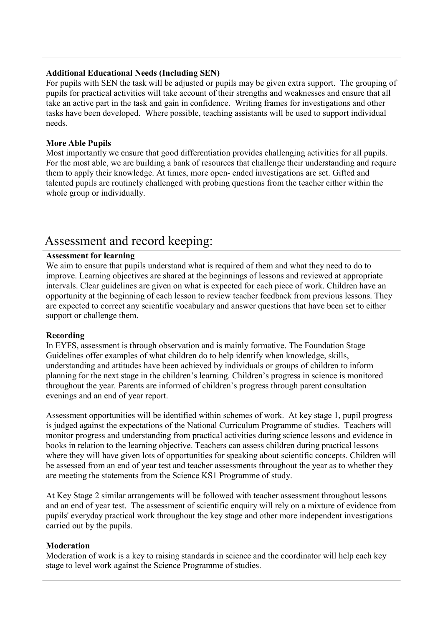#### Additional Educational Needs (Including SEN)

For pupils with SEN the task will be adjusted or pupils may be given extra support. The grouping of pupils for practical activities will take account of their strengths and weaknesses and ensure that all take an active part in the task and gain in confidence. Writing frames for investigations and other tasks have been developed. Where possible, teaching assistants will be used to support individual needs.

#### More Able Pupils

Most importantly we ensure that good differentiation provides challenging activities for all pupils. For the most able, we are building a bank of resources that challenge their understanding and require them to apply their knowledge. At times, more open- ended investigations are set. Gifted and talented pupils are routinely challenged with probing questions from the teacher either within the whole group or individually.

## Assessment and record keeping:

#### Assessment for learning

We aim to ensure that pupils understand what is required of them and what they need to do to improve. Learning objectives are shared at the beginnings of lessons and reviewed at appropriate intervals. Clear guidelines are given on what is expected for each piece of work. Children have an opportunity at the beginning of each lesson to review teacher feedback from previous lessons. They are expected to correct any scientific vocabulary and answer questions that have been set to either support or challenge them.

#### Recording

In EYFS, assessment is through observation and is mainly formative. The Foundation Stage Guidelines offer examples of what children do to help identify when knowledge, skills, understanding and attitudes have been achieved by individuals or groups of children to inform planning for the next stage in the children's learning. Children's progress in science is monitored throughout the year. Parents are informed of children's progress through parent consultation evenings and an end of year report.

Assessment opportunities will be identified within schemes of work. At key stage 1, pupil progress is judged against the expectations of the National Curriculum Programme of studies. Teachers will monitor progress and understanding from practical activities during science lessons and evidence in books in relation to the learning objective. Teachers can assess children during practical lessons where they will have given lots of opportunities for speaking about scientific concepts. Children will be assessed from an end of year test and teacher assessments throughout the year as to whether they are meeting the statements from the Science KS1 Programme of study.

At Key Stage 2 similar arrangements will be followed with teacher assessment throughout lessons and an end of year test. The assessment of scientific enquiry will rely on a mixture of evidence from pupils' everyday practical work throughout the key stage and other more independent investigations carried out by the pupils.

#### Moderation

Moderation of work is a key to raising standards in science and the coordinator will help each key stage to level work against the Science Programme of studies.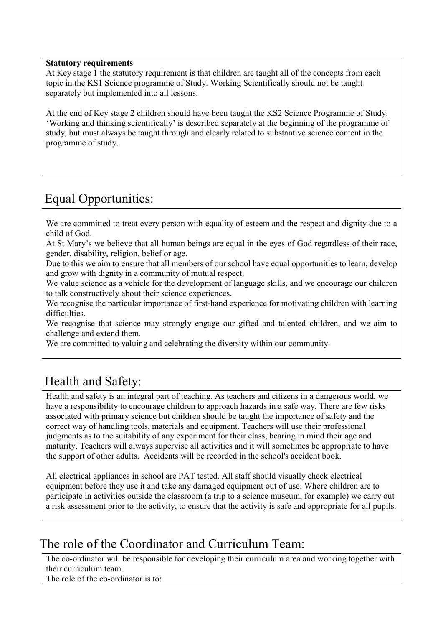#### Statutory requirements

At Key stage 1 the statutory requirement is that children are taught all of the concepts from each topic in the KS1 Science programme of Study. Working Scientifically should not be taught separately but implemented into all lessons.

At the end of Key stage 2 children should have been taught the KS2 Science Programme of Study. 'Working and thinking scientifically' is described separately at the beginning of the programme of study, but must always be taught through and clearly related to substantive science content in the programme of study.

# Equal Opportunities:

We are committed to treat every person with equality of esteem and the respect and dignity due to a child of God.

At St Mary's we believe that all human beings are equal in the eyes of God regardless of their race, gender, disability, religion, belief or age.

Due to this we aim to ensure that all members of our school have equal opportunities to learn, develop and grow with dignity in a community of mutual respect.

We value science as a vehicle for the development of language skills, and we encourage our children to talk constructively about their science experiences.

We recognise the particular importance of first-hand experience for motivating children with learning difficulties.

We recognise that science may strongly engage our gifted and talented children, and we aim to challenge and extend them.

We are committed to valuing and celebrating the diversity within our community.

# Health and Safety:

Health and safety is an integral part of teaching. As teachers and citizens in a dangerous world, we have a responsibility to encourage children to approach hazards in a safe way. There are few risks associated with primary science but children should be taught the importance of safety and the correct way of handling tools, materials and equipment. Teachers will use their professional judgments as to the suitability of any experiment for their class, bearing in mind their age and maturity. Teachers will always supervise all activities and it will sometimes be appropriate to have the support of other adults. Accidents will be recorded in the school's accident book.

All electrical appliances in school are PAT tested. All staff should visually check electrical equipment before they use it and take any damaged equipment out of use. Where children are to participate in activities outside the classroom (a trip to a science museum, for example) we carry out a risk assessment prior to the activity, to ensure that the activity is safe and appropriate for all pupils.

## The role of the Coordinator and Curriculum Team:

The co-ordinator will be responsible for developing their curriculum area and working together with their curriculum team.

The role of the co-ordinator is to: